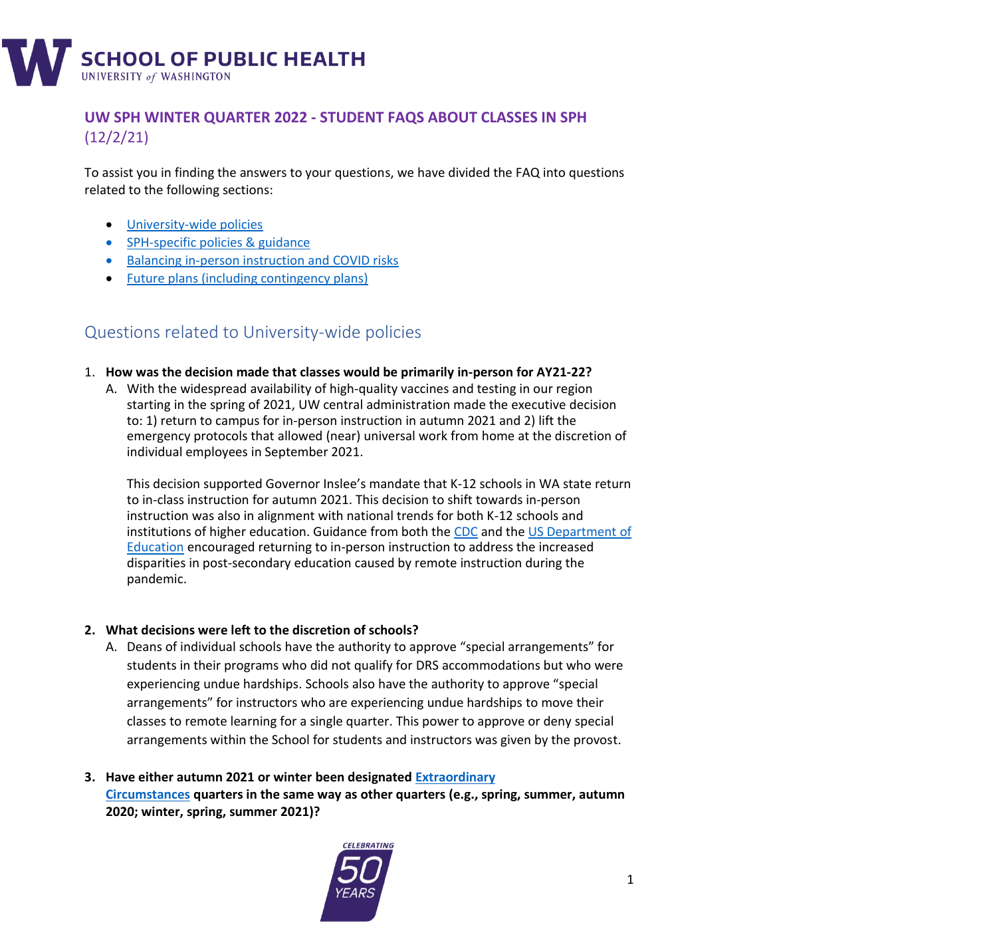

### **UW SPH WINTER QUARTER 2022 - STUDENT FAQS ABOUT CLASSES IN SPH** (12/2/21)

To assist you in finding the answers to your questions, we have divided the FAQ into questions related to the following sections:

- [University-wide policies](bookmark://_Questions_related_to/)
- [SPH-specific policies](#page-1-0) & guidance
- [Balancing in-person](#page-2-0) instruction and COVID risks
- [Future plans \(including contingency plans\)](bookmark://_Questions_related_to_3/)

## Questions related to University-wide policies

- 1. **How was the decision made that classes would be primarily in-person for AY21-22?**
	- A. With the widespread availability of high-quality vaccines and testing in our region starting in the spring of 2021, UW central administration made the executive decision to: 1) return to campus for in-person instruction in autumn 2021 and 2) lift the emergency protocols that allowed (near) universal work from home at the discretion of individual employees in September 2021.

This decision supported Governor Inslee's mandate that K-12 schools in WA state return to in-class instruction for autumn 2021. This decision to shift towards in-person instruction was also in alignment with national trends for both K-12 schools and institutions of higher education. Guidance from both the [CDC](https://www.cdc.gov/coronavirus/2019-ncov/community/colleges-universities/considerations.html) and th[e US Department of](https://www2.ed.gov/documents/coronavirus/reopening-3.pdf)  [Education](https://www2.ed.gov/documents/coronavirus/reopening-3.pdf) encouraged returning to in-person instruction to address the increased disparities in post-secondary education caused by remote instruction during the pandemic.

#### **2. What decisions were left to the discretion of schools?**

- A. Deans of individual schools have the authority to approve "special arrangements" for students in their programs who did not qualify for DRS accommodations but who were experiencing undue hardships. Schools also have the authority to approve "special arrangements" for instructors who are experiencing undue hardships to move their classes to remote learning for a single quarter. This power to approve or deny special arrangements within the School for students and instructors was given by the provost.
- **3. Have either autumn 2021 or winter been designated [Extraordinary](https://registrar.washington.edu/students/ec-grading-change-request/)  [Circumstances](https://registrar.washington.edu/students/ec-grading-change-request/) quarters in the same way as other quarters (e.g., spring, summer, autumn 2020; winter, spring, summer 2021)?**

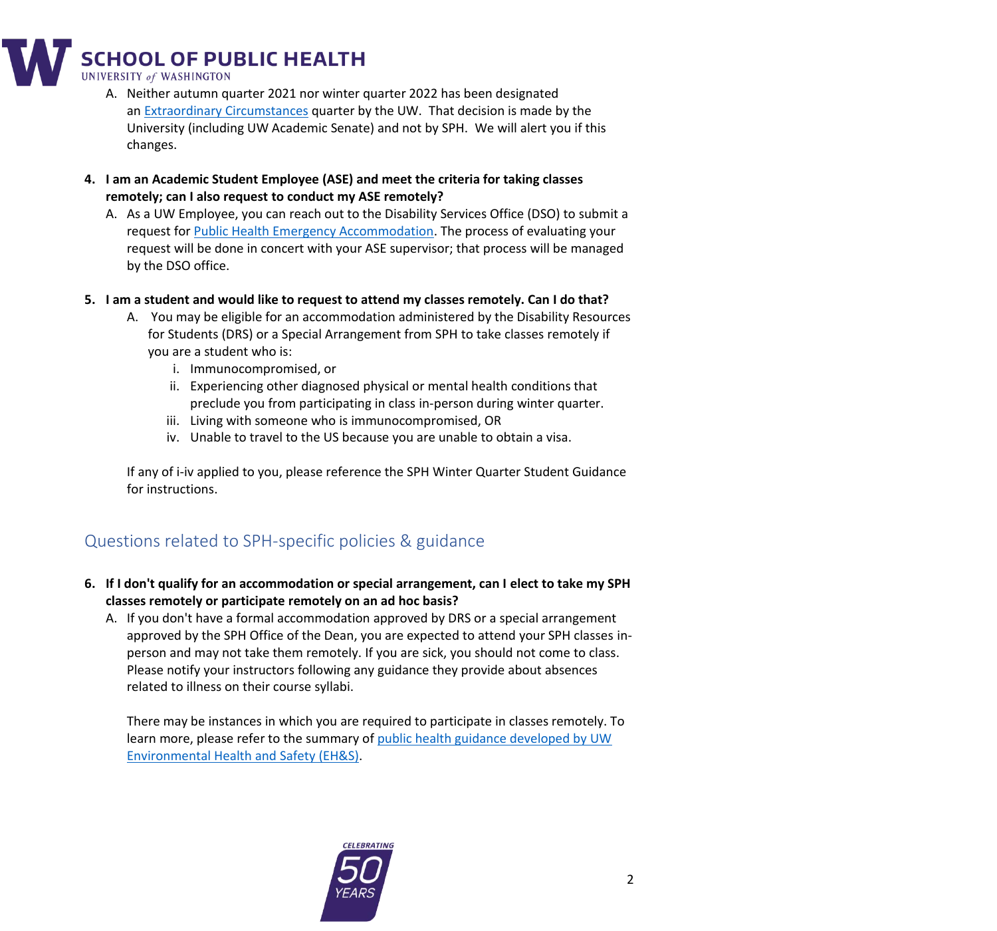**SCHOOL OF PUBLIC HEALTH** 

**UNIVERSITY of WASHINGTON** 

- A. Neither autumn quarter 2021 nor winter quarter 2022 has been designated an [Extraordinary Circumstances](https://registrar.washington.edu/students/ec-grading-change-request/) quarter by the UW. That decision is made by the University (including UW Academic Senate) and not by SPH. We will alert you if this changes.
- **4. I am an Academic Student Employee (ASE) and meet the criteria for taking classes remotely; can I also request to conduct my ASE remotely?**
	- A. As a UW Employee, you can reach out to the Disability Services Office (DSO) to submit a request for [Public Health Emergency Accommodation.](https://hr.uw.edu/returntowork/covid-19-policy-updates/public-health-emergency-accommodation/) The process of evaluating your request will be done in concert with your ASE supervisor; that process will be managed by the DSO office.
- **5. I am a student and would like to request to attend my classes remotely. Can I do that?** 
	- A. You may be eligible for an accommodation administered by the Disability Resources for Students (DRS) or a Special Arrangement from SPH to take classes remotely if you are a student who is:
		- i. Immunocompromised, or
		- ii. Experiencing other diagnosed physical or mental health conditions that preclude you from participating in class in-person during winter quarter.
		- iii. Living with someone who is immunocompromised, OR
		- iv. Unable to travel to the US because you are unable to obtain a visa.

If any of i-iv applied to you, please reference the SPH Winter Quarter Student Guidance for instructions.

# <span id="page-1-0"></span>Questions related to SPH-specific policies & guidance

- **6. If I don't qualify for an accommodation or special arrangement, can I elect to take my SPH classes remotely or participate remotely on an ad hoc basis?**
	- A. If you don't have a formal accommodation approved by DRS or a special arrangement approved by the SPH Office of the Dean, you are expected to attend your SPH classes inperson and may not take them remotely. If you are sick, you should not come to class. Please notify your instructors following any guidance they provide about absences related to illness on their course syllabi.

There may be instances in which you are required to participate in classes remotely. To learn more, please refer to the summary of [public health guidance developed by UW](https://www.ehs.washington.edu/system/files/resources/COVID-19-public-health-flowchart.pdf)  [Environmental Health and Safety \(EH&S\).](https://www.ehs.washington.edu/system/files/resources/COVID-19-public-health-flowchart.pdf)

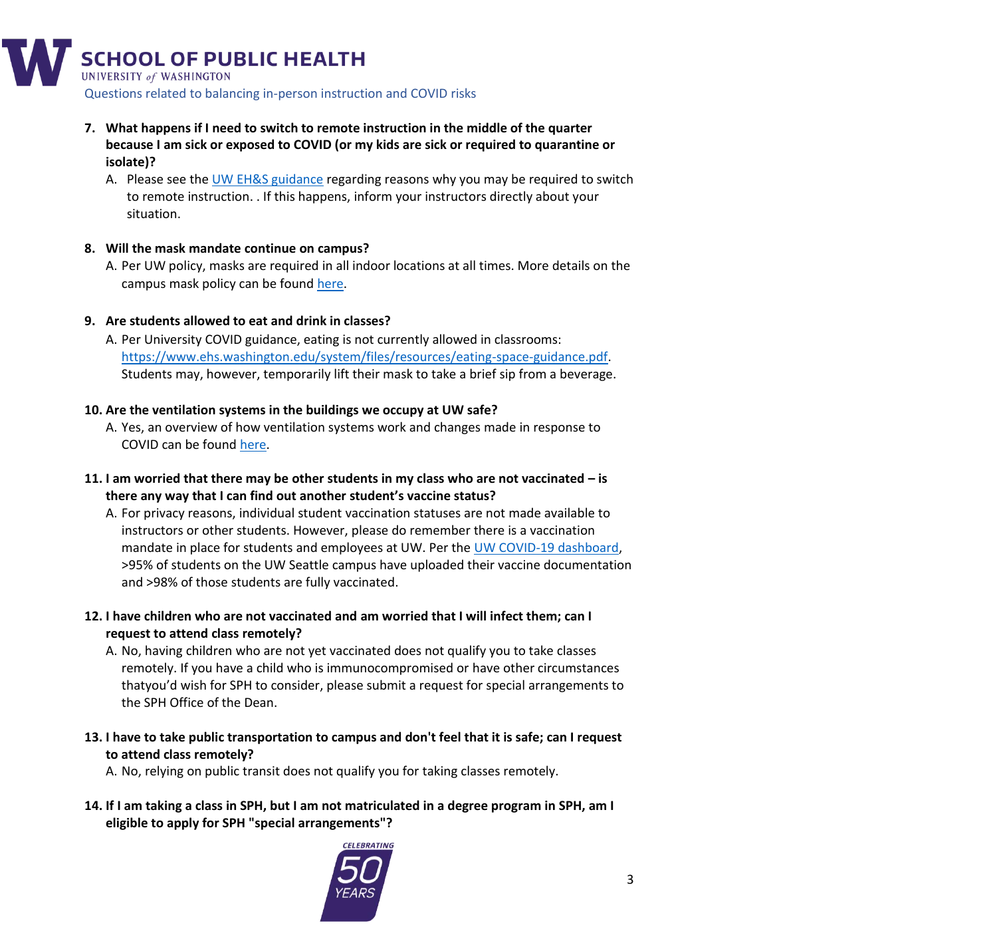

- <span id="page-2-0"></span>**7. What happens if I need to switch to remote instruction in the middle of the quarter because I am sick or exposed to COVID (or my kids are sick or required to quarantine or isolate)?**
	- A. Please see the [UW EH&S guidance](https://www.ehs.washington.edu/system/files/resources/COVID-19-public-health-flowchart.pdf) regarding reasons why you may be required to switch to remote instruction. . If this happens, inform your instructors directly about your situation.

## **8. Will the mask mandate continue on campus?**

A. Per UW policy, masks are required in all indoor locations at all times. More details on the campus mask policy can be found [here.](https://www.ehs.washington.edu/covid-19-prevention-and-response/face-covering-requirements)

## **9. Are students allowed to eat and drink in classes?**

A. Per University COVID guidance, eating is not currently allowed in classrooms: [https://www.ehs.washington.edu/system/files/resources/eating-space-guidance.pdf.](https://www.ehs.washington.edu/system/files/resources/eating-space-guidance.pdf) Students may, however, temporarily lift their mask to take a brief sip from a beverage.

### **10. Are the ventilation systems in the buildings we occupy at UW safe?**

A. Yes, an overview of how ventilation systems work and changes made in response to COVID can be found [here.](https://facilities.uw.edu/news/how-ventilation-uw-buildings-works)

#### **11. I am worried that there may be other students in my class who are not vaccinated – is there any way that I can find out another student's vaccine status?**

- A. For privacy reasons, individual student vaccination statuses are not made available to instructors or other students. However, please do remember there is a vaccination mandate in place for students and employees at UW. Per the [UW COVID-19 dashboard,](https://www.washington.edu/coronavirus/testing-results/) >95% of students on the UW Seattle campus have uploaded their vaccine documentation and >98% of those students are fully vaccinated.
- **12. I have children who are not vaccinated and am worried that I will infect them; can I request to attend class remotely?**
	- A. No, having children who are not yet vaccinated does not qualify you to take classes remotely. If you have a child who is immunocompromised or have other circumstances thatyou'd wish for SPH to consider, please submit a request for special arrangements to the SPH Office of the Dean.
- **13. I have to take public transportation to campus and don't feel that it is safe; can I request to attend class remotely?**

A. No, relying on public transit does not qualify you for taking classes remotely.

**14. If I am taking a class in SPH, but I am not matriculated in a degree program in SPH, am I eligible to apply for SPH "special arrangements"?**